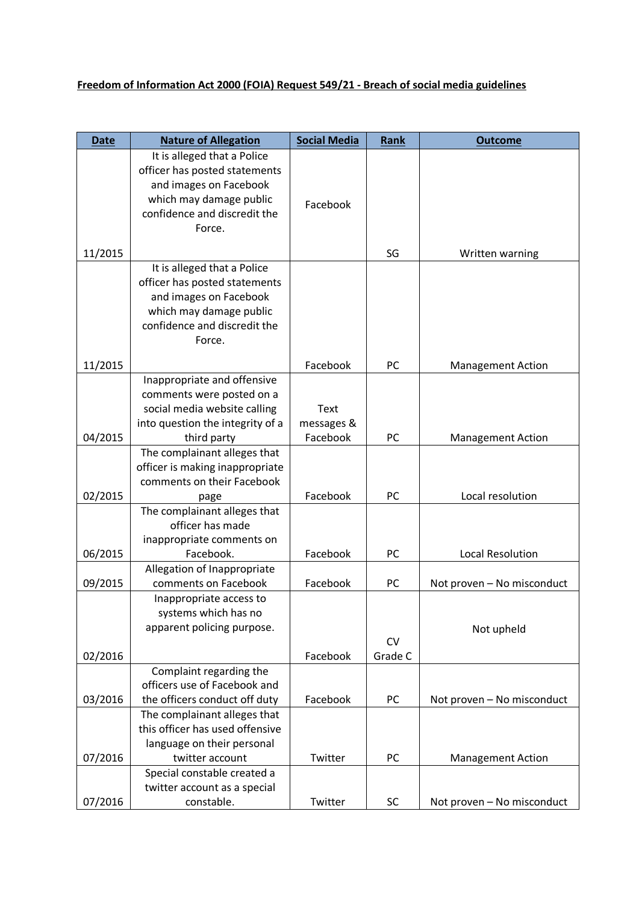## **Freedom of Information Act 2000 (FOIA) Request 549/21 - Breach of social media guidelines**

| <b>Date</b> | <b>Nature of Allegation</b>                                     | <b>Social Media</b> | Rank                 | <b>Outcome</b>             |
|-------------|-----------------------------------------------------------------|---------------------|----------------------|----------------------------|
|             | It is alleged that a Police                                     |                     |                      |                            |
|             | officer has posted statements                                   |                     |                      |                            |
|             | and images on Facebook                                          |                     |                      |                            |
|             | which may damage public                                         | Facebook            |                      |                            |
|             | confidence and discredit the                                    |                     |                      |                            |
|             | Force.                                                          |                     |                      |                            |
| 11/2015     |                                                                 |                     | SG                   | Written warning            |
|             | It is alleged that a Police                                     |                     |                      |                            |
|             | officer has posted statements                                   |                     |                      |                            |
|             | and images on Facebook                                          |                     |                      |                            |
|             | which may damage public                                         |                     |                      |                            |
|             | confidence and discredit the                                    |                     |                      |                            |
|             | Force.                                                          |                     |                      |                            |
| 11/2015     |                                                                 | Facebook            | PC                   | <b>Management Action</b>   |
|             | Inappropriate and offensive                                     |                     |                      |                            |
|             | comments were posted on a                                       |                     |                      |                            |
|             | social media website calling                                    | Text                |                      |                            |
|             | into question the integrity of a                                | messages &          |                      |                            |
| 04/2015     | third party                                                     | Facebook            | PC                   | <b>Management Action</b>   |
|             | The complainant alleges that<br>officer is making inappropriate |                     |                      |                            |
|             | comments on their Facebook                                      |                     |                      |                            |
| 02/2015     | page                                                            | Facebook            | PC                   | Local resolution           |
|             | The complainant alleges that                                    |                     |                      |                            |
|             | officer has made                                                |                     |                      |                            |
|             | inappropriate comments on                                       |                     |                      |                            |
| 06/2015     | Facebook.                                                       | Facebook            | PC                   | <b>Local Resolution</b>    |
|             | Allegation of Inappropriate                                     |                     |                      |                            |
| 09/2015     | comments on Facebook                                            | Facebook            | PC                   | Not proven - No misconduct |
|             | Inappropriate access to                                         |                     |                      |                            |
|             | systems which has no                                            |                     |                      |                            |
|             | apparent policing purpose.                                      |                     |                      | Not upheld                 |
| 02/2016     |                                                                 | Facebook            | <b>CV</b><br>Grade C |                            |
|             | Complaint regarding the                                         |                     |                      |                            |
|             | officers use of Facebook and                                    |                     |                      |                            |
| 03/2016     | the officers conduct off duty                                   | Facebook            | PC                   | Not proven - No misconduct |
|             | The complainant alleges that                                    |                     |                      |                            |
|             | this officer has used offensive                                 |                     |                      |                            |
|             | language on their personal                                      |                     |                      |                            |
| 07/2016     | twitter account                                                 | Twitter             | PC                   | <b>Management Action</b>   |
|             | Special constable created a                                     |                     |                      |                            |
|             | twitter account as a special                                    |                     |                      |                            |
| 07/2016     | constable.                                                      | Twitter             | SC                   | Not proven - No misconduct |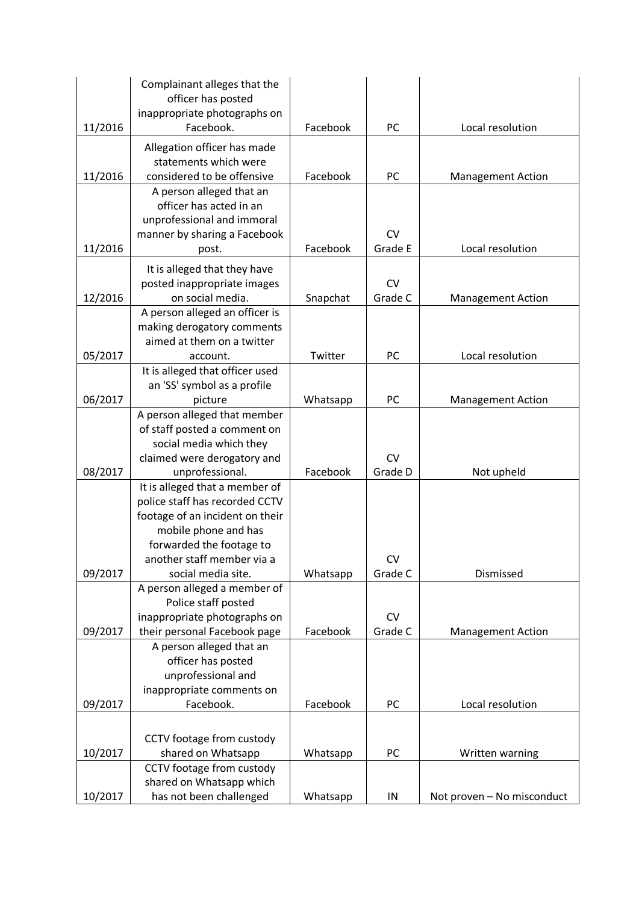|         | Complainant alleges that the<br>officer has posted               |          |           |                            |
|---------|------------------------------------------------------------------|----------|-----------|----------------------------|
|         | inappropriate photographs on                                     |          |           |                            |
| 11/2016 | Facebook.                                                        | Facebook | PC        | Local resolution           |
|         | Allegation officer has made                                      |          |           |                            |
|         | statements which were                                            |          |           |                            |
| 11/2016 | considered to be offensive                                       | Facebook | PC        | <b>Management Action</b>   |
|         | A person alleged that an                                         |          |           |                            |
|         | officer has acted in an                                          |          |           |                            |
|         | unprofessional and immoral                                       |          |           |                            |
|         | manner by sharing a Facebook                                     |          | <b>CV</b> |                            |
| 11/2016 | post.                                                            | Facebook | Grade E   | Local resolution           |
|         | It is alleged that they have                                     |          |           |                            |
|         | posted inappropriate images                                      |          | <b>CV</b> |                            |
| 12/2016 | on social media.                                                 | Snapchat | Grade C   | <b>Management Action</b>   |
|         | A person alleged an officer is                                   |          |           |                            |
|         | making derogatory comments<br>aimed at them on a twitter         |          |           |                            |
| 05/2017 | account.                                                         | Twitter  | PC        | Local resolution           |
|         | It is alleged that officer used                                  |          |           |                            |
|         | an 'SS' symbol as a profile                                      |          |           |                            |
| 06/2017 | picture                                                          | Whatsapp | PC        | <b>Management Action</b>   |
|         | A person alleged that member                                     |          |           |                            |
|         | of staff posted a comment on                                     |          |           |                            |
|         | social media which they                                          |          |           |                            |
|         | claimed were derogatory and                                      |          | <b>CV</b> |                            |
| 08/2017 | unprofessional.                                                  | Facebook | Grade D   | Not upheld                 |
|         | It is alleged that a member of<br>police staff has recorded CCTV |          |           |                            |
|         | footage of an incident on their                                  |          |           |                            |
|         | mobile phone and has                                             |          |           |                            |
|         | forwarded the footage to                                         |          |           |                            |
|         | another staff member via a                                       |          | <b>CV</b> |                            |
| 09/2017 | social media site.                                               | Whatsapp | Grade C   | Dismissed                  |
|         | A person alleged a member of                                     |          |           |                            |
|         | Police staff posted                                              |          |           |                            |
|         | inappropriate photographs on                                     |          | <b>CV</b> |                            |
| 09/2017 | their personal Facebook page                                     | Facebook | Grade C   | <b>Management Action</b>   |
|         | A person alleged that an                                         |          |           |                            |
|         | officer has posted<br>unprofessional and                         |          |           |                            |
|         | inappropriate comments on                                        |          |           |                            |
| 09/2017 | Facebook.                                                        | Facebook | PC        | Local resolution           |
|         |                                                                  |          |           |                            |
|         | CCTV footage from custody                                        |          |           |                            |
| 10/2017 | shared on Whatsapp                                               | Whatsapp | PC        | Written warning            |
|         | CCTV footage from custody                                        |          |           |                            |
|         | shared on Whatsapp which                                         |          |           |                            |
| 10/2017 | has not been challenged                                          | Whatsapp | IN        | Not proven - No misconduct |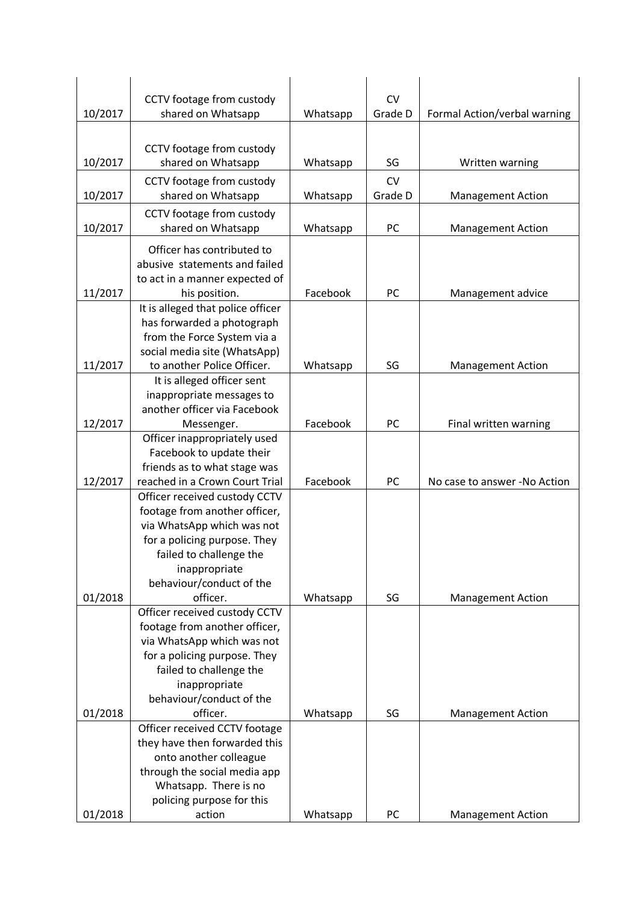| 10/2017 | CCTV footage from custody<br>shared on Whatsapp                | Whatsapp | <b>CV</b><br>Grade D | Formal Action/verbal warning |
|---------|----------------------------------------------------------------|----------|----------------------|------------------------------|
|         |                                                                |          |                      |                              |
|         | CCTV footage from custody                                      |          |                      |                              |
| 10/2017 | shared on Whatsapp                                             | Whatsapp | SG                   | Written warning              |
|         | CCTV footage from custody                                      |          | <b>CV</b>            |                              |
| 10/2017 | shared on Whatsapp                                             | Whatsapp | Grade D              | <b>Management Action</b>     |
|         | CCTV footage from custody                                      |          |                      |                              |
| 10/2017 | shared on Whatsapp                                             | Whatsapp | PC                   | <b>Management Action</b>     |
|         | Officer has contributed to                                     |          |                      |                              |
|         | abusive statements and failed                                  |          |                      |                              |
|         | to act in a manner expected of                                 |          |                      |                              |
| 11/2017 | his position.                                                  | Facebook | PC                   | Management advice            |
|         | It is alleged that police officer                              |          |                      |                              |
|         | has forwarded a photograph                                     |          |                      |                              |
|         | from the Force System via a                                    |          |                      |                              |
| 11/2017 | social media site (WhatsApp)<br>to another Police Officer.     | Whatsapp | SG                   | <b>Management Action</b>     |
|         | It is alleged officer sent                                     |          |                      |                              |
|         | inappropriate messages to                                      |          |                      |                              |
|         | another officer via Facebook                                   |          |                      |                              |
| 12/2017 | Messenger.                                                     | Facebook | PC                   | Final written warning        |
|         | Officer inappropriately used                                   |          |                      |                              |
|         | Facebook to update their                                       |          |                      |                              |
| 12/2017 | friends as to what stage was<br>reached in a Crown Court Trial | Facebook | PC                   | No case to answer -No Action |
|         | Officer received custody CCTV                                  |          |                      |                              |
|         | footage from another officer,                                  |          |                      |                              |
|         | via WhatsApp which was not                                     |          |                      |                              |
|         | for a policing purpose. They                                   |          |                      |                              |
|         | failed to challenge the                                        |          |                      |                              |
|         | inappropriate                                                  |          |                      |                              |
|         | behaviour/conduct of the<br>officer.                           |          | SG                   |                              |
| 01/2018 | Officer received custody CCTV                                  | Whatsapp |                      | <b>Management Action</b>     |
|         | footage from another officer,                                  |          |                      |                              |
|         | via WhatsApp which was not                                     |          |                      |                              |
|         | for a policing purpose. They                                   |          |                      |                              |
|         | failed to challenge the                                        |          |                      |                              |
|         | inappropriate                                                  |          |                      |                              |
|         | behaviour/conduct of the<br>officer.                           |          | SG                   |                              |
| 01/2018 | Officer received CCTV footage                                  | Whatsapp |                      | <b>Management Action</b>     |
|         | they have then forwarded this                                  |          |                      |                              |
|         | onto another colleague                                         |          |                      |                              |
|         | through the social media app                                   |          |                      |                              |
|         | Whatsapp. There is no                                          |          |                      |                              |
|         | policing purpose for this                                      |          |                      |                              |
| 01/2018 | action                                                         | Whatsapp | PC                   | <b>Management Action</b>     |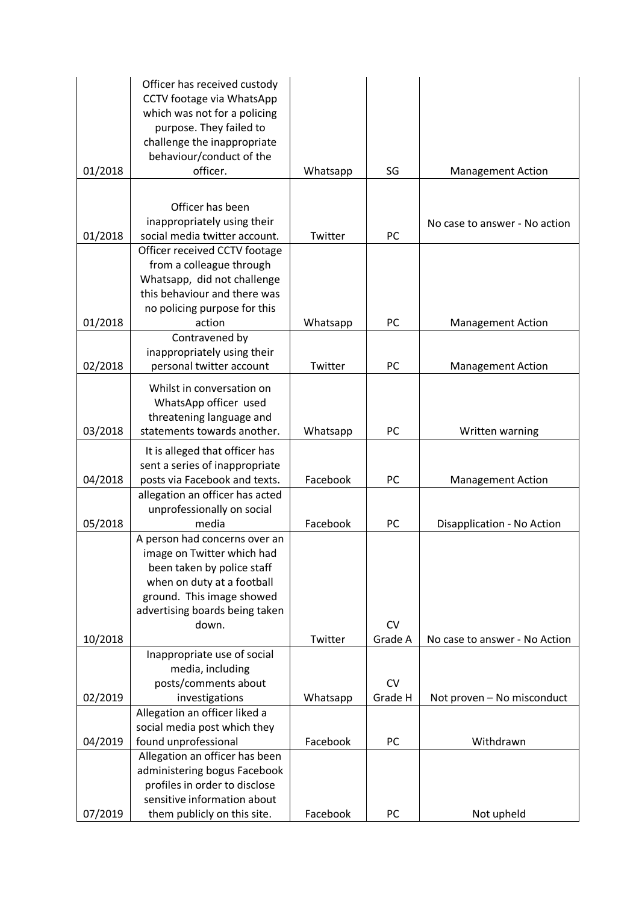|         | Officer has received custody                                 |          |           |                               |
|---------|--------------------------------------------------------------|----------|-----------|-------------------------------|
|         | CCTV footage via WhatsApp                                    |          |           |                               |
|         | which was not for a policing                                 |          |           |                               |
|         | purpose. They failed to                                      |          |           |                               |
|         | challenge the inappropriate<br>behaviour/conduct of the      |          |           |                               |
| 01/2018 | officer.                                                     | Whatsapp | SG        | <b>Management Action</b>      |
|         |                                                              |          |           |                               |
|         |                                                              |          |           |                               |
|         | Officer has been                                             |          |           |                               |
| 01/2018 | inappropriately using their<br>social media twitter account. | Twitter  | PC        | No case to answer - No action |
|         | Officer received CCTV footage                                |          |           |                               |
|         | from a colleague through                                     |          |           |                               |
|         | Whatsapp, did not challenge                                  |          |           |                               |
|         | this behaviour and there was                                 |          |           |                               |
|         | no policing purpose for this                                 |          |           |                               |
| 01/2018 | action                                                       | Whatsapp | <b>PC</b> | <b>Management Action</b>      |
|         | Contravened by                                               |          |           |                               |
|         | inappropriately using their                                  |          |           |                               |
| 02/2018 | personal twitter account                                     | Twitter  | PC        | <b>Management Action</b>      |
|         | Whilst in conversation on                                    |          |           |                               |
|         | WhatsApp officer used                                        |          |           |                               |
|         | threatening language and                                     |          |           |                               |
| 03/2018 | statements towards another.                                  | Whatsapp | PC        | Written warning               |
|         | It is alleged that officer has                               |          |           |                               |
|         | sent a series of inappropriate                               |          |           |                               |
| 04/2018 | posts via Facebook and texts.                                | Facebook | PC        | <b>Management Action</b>      |
|         | allegation an officer has acted                              |          |           |                               |
| 05/2018 | unprofessionally on social<br>media                          | Facebook | PC        | Disapplication - No Action    |
|         | A person had concerns over an                                |          |           |                               |
|         | image on Twitter which had                                   |          |           |                               |
|         | been taken by police staff                                   |          |           |                               |
|         | when on duty at a football                                   |          |           |                               |
|         | ground. This image showed                                    |          |           |                               |
|         | advertising boards being taken                               |          |           |                               |
|         | down.                                                        |          | <b>CV</b> |                               |
| 10/2018 |                                                              | Twitter  | Grade A   | No case to answer - No Action |
|         | Inappropriate use of social                                  |          |           |                               |
|         | media, including                                             |          |           |                               |
|         | posts/comments about                                         |          | <b>CV</b> |                               |
| 02/2019 | investigations<br>Allegation an officer liked a              | Whatsapp | Grade H   | Not proven - No misconduct    |
|         | social media post which they                                 |          |           |                               |
| 04/2019 | found unprofessional                                         | Facebook | PC        | Withdrawn                     |
|         | Allegation an officer has been                               |          |           |                               |
|         | administering bogus Facebook                                 |          |           |                               |
|         | profiles in order to disclose                                |          |           |                               |
|         | sensitive information about                                  |          |           |                               |
| 07/2019 | them publicly on this site.                                  | Facebook | PC        | Not upheld                    |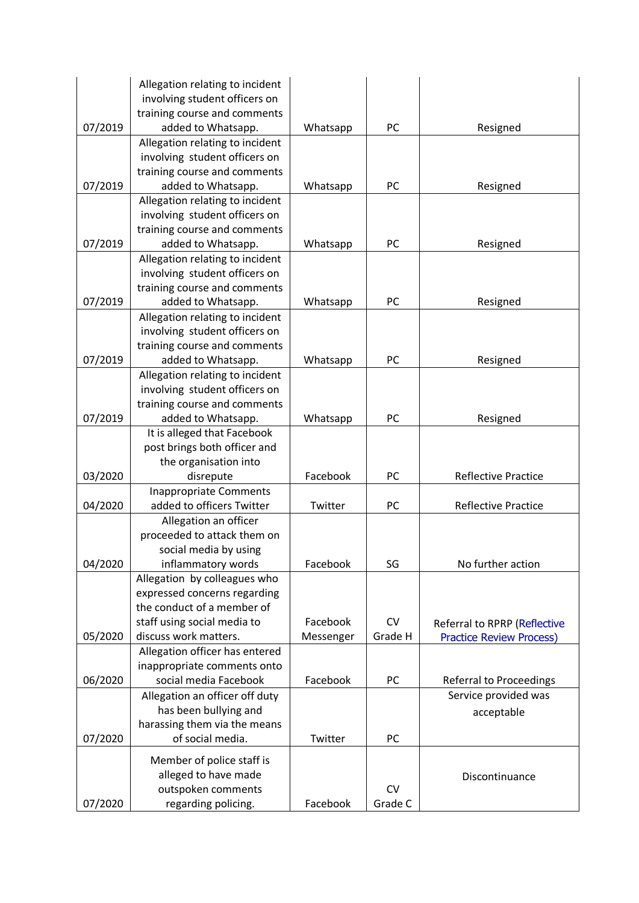|         | Allegation relating to incident<br>involving student officers on |           |           |                                 |
|---------|------------------------------------------------------------------|-----------|-----------|---------------------------------|
|         | training course and comments                                     |           |           |                                 |
| 07/2019 | added to Whatsapp.                                               | Whatsapp  | PC        | Resigned                        |
|         | Allegation relating to incident                                  |           |           |                                 |
|         | involving student officers on                                    |           |           |                                 |
|         | training course and comments                                     |           |           |                                 |
| 07/2019 | added to Whatsapp.                                               | Whatsapp  | PC        | Resigned                        |
|         | Allegation relating to incident                                  |           |           |                                 |
|         | involving student officers on                                    |           |           |                                 |
|         | training course and comments                                     |           |           |                                 |
| 07/2019 | added to Whatsapp.                                               | Whatsapp  | PC        | Resigned                        |
|         | Allegation relating to incident                                  |           |           |                                 |
|         | involving student officers on                                    |           |           |                                 |
|         | training course and comments                                     |           |           |                                 |
| 07/2019 | added to Whatsapp.                                               | Whatsapp  | PC        | Resigned                        |
|         | Allegation relating to incident                                  |           |           |                                 |
|         | involving student officers on                                    |           |           |                                 |
|         | training course and comments                                     |           |           |                                 |
| 07/2019 | added to Whatsapp.                                               | Whatsapp  | PC        | Resigned                        |
|         | Allegation relating to incident                                  |           |           |                                 |
|         | involving student officers on                                    |           |           |                                 |
| 07/2019 | training course and comments<br>added to Whatsapp.               |           | PC        |                                 |
|         | It is alleged that Facebook                                      | Whatsapp  |           | Resigned                        |
|         | post brings both officer and                                     |           |           |                                 |
|         | the organisation into                                            |           |           |                                 |
| 03/2020 | disrepute                                                        | Facebook  | PC        | <b>Reflective Practice</b>      |
|         | <b>Inappropriate Comments</b>                                    |           |           |                                 |
| 04/2020 | added to officers Twitter                                        | Twitter   | PC        | <b>Reflective Practice</b>      |
|         | Allegation an officer                                            |           |           |                                 |
|         | proceeded to attack them on                                      |           |           |                                 |
|         | social media by using                                            |           |           |                                 |
| 04/2020 | inflammatory words                                               | Facebook  | SG        | No further action               |
|         | Allegation by colleagues who                                     |           |           |                                 |
|         | expressed concerns regarding                                     |           |           |                                 |
|         | the conduct of a member of                                       |           |           |                                 |
|         | staff using social media to<br>discuss work matters.             | Facebook  | CV        | Referral to RPRP (Reflective    |
| 05/2020 |                                                                  | Messenger | Grade H   | <b>Practice Review Process)</b> |
|         | Allegation officer has entered<br>inappropriate comments onto    |           |           |                                 |
| 06/2020 | social media Facebook                                            | Facebook  | PC        | Referral to Proceedings         |
|         | Allegation an officer off duty                                   |           |           | Service provided was            |
|         | has been bullying and                                            |           |           |                                 |
|         | harassing them via the means                                     |           |           | acceptable                      |
| 07/2020 | of social media.                                                 | Twitter   | PC        |                                 |
|         |                                                                  |           |           |                                 |
|         | Member of police staff is                                        |           |           |                                 |
|         | alleged to have made                                             |           |           | Discontinuance                  |
|         | outspoken comments                                               |           | <b>CV</b> |                                 |
| 07/2020 | regarding policing.                                              | Facebook  | Grade C   |                                 |